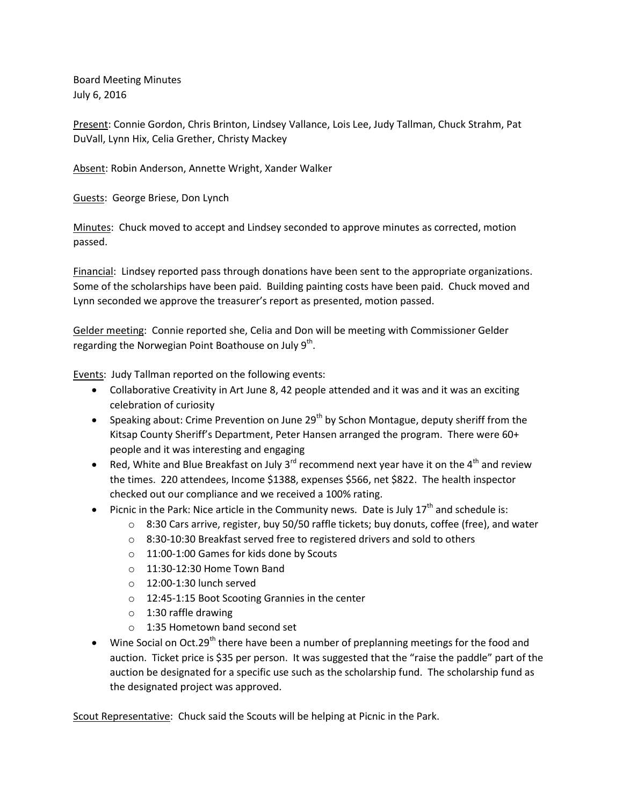Board Meeting Minutes July 6, 2016

Present: Connie Gordon, Chris Brinton, Lindsey Vallance, Lois Lee, Judy Tallman, Chuck Strahm, Pat DuVall, Lynn Hix, Celia Grether, Christy Mackey

Absent: Robin Anderson, Annette Wright, Xander Walker

Guests: George Briese, Don Lynch

Minutes: Chuck moved to accept and Lindsey seconded to approve minutes as corrected, motion passed.

Financial: Lindsey reported pass through donations have been sent to the appropriate organizations. Some of the scholarships have been paid. Building painting costs have been paid. Chuck moved and Lynn seconded we approve the treasurer's report as presented, motion passed.

Gelder meeting: Connie reported she, Celia and Don will be meeting with Commissioner Gelder regarding the Norwegian Point Boathouse on July  $9^{th}$ .

Events: Judy Tallman reported on the following events:

- Collaborative Creativity in Art June 8, 42 people attended and it was and it was an exciting celebration of curiosity
- **Speaking about: Crime Prevention on June 29<sup>th</sup> by Schon Montague, deputy sheriff from the** Kitsap County Sheriff's Department, Peter Hansen arranged the program. There were 60+ people and it was interesting and engaging
- Red, White and Blue Breakfast on July 3<sup>rd</sup> recommend next year have it on the 4<sup>th</sup> and review the times. 220 attendees, Income \$1388, expenses \$566, net \$822. The health inspector checked out our compliance and we received a 100% rating.
- Picnic in the Park: Nice article in the Community news. Date is July  $17<sup>th</sup>$  and schedule is:
	- $\circ$  8:30 Cars arrive, register, buy 50/50 raffle tickets; buy donuts, coffee (free), and water
	- o 8:30-10:30 Breakfast served free to registered drivers and sold to others
	- o 11:00-1:00 Games for kids done by Scouts
	- o 11:30-12:30 Home Town Band
	- $\circ$  12:00-1:30 lunch served
	- o 12:45-1:15 Boot Scooting Grannies in the center
	- $\circ$  1:30 raffle drawing
	- o 1:35 Hometown band second set
- Wine Social on Oct.29<sup>th</sup> there have been a number of preplanning meetings for the food and auction. Ticket price is \$35 per person. It was suggested that the "raise the paddle" part of the auction be designated for a specific use such as the scholarship fund. The scholarship fund as the designated project was approved.

Scout Representative: Chuck said the Scouts will be helping at Picnic in the Park.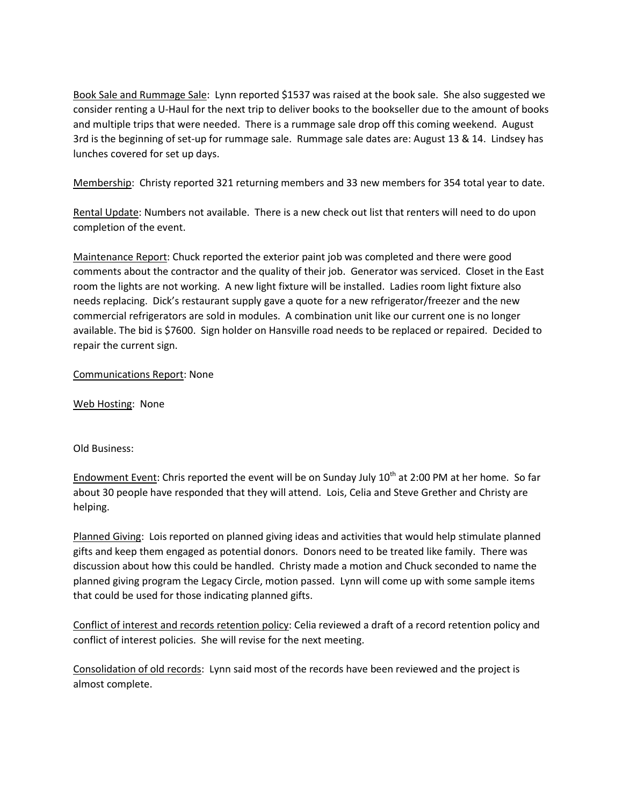Book Sale and Rummage Sale: Lynn reported \$1537 was raised at the book sale. She also suggested we consider renting a U-Haul for the next trip to deliver books to the bookseller due to the amount of books and multiple trips that were needed. There is a rummage sale drop off this coming weekend. August 3rd is the beginning of set-up for rummage sale. Rummage sale dates are: August 13 & 14. Lindsey has lunches covered for set up days.

Membership: Christy reported 321 returning members and 33 new members for 354 total year to date.

Rental Update: Numbers not available. There is a new check out list that renters will need to do upon completion of the event.

Maintenance Report: Chuck reported the exterior paint job was completed and there were good comments about the contractor and the quality of their job. Generator was serviced. Closet in the East room the lights are not working. A new light fixture will be installed. Ladies room light fixture also needs replacing. Dick's restaurant supply gave a quote for a new refrigerator/freezer and the new commercial refrigerators are sold in modules. A combination unit like our current one is no longer available. The bid is \$7600. Sign holder on Hansville road needs to be replaced or repaired. Decided to repair the current sign.

## Communications Report: None

Web Hosting: None

Old Business:

Endowment Event: Chris reported the event will be on Sunday July 10<sup>th</sup> at 2:00 PM at her home. So far about 30 people have responded that they will attend. Lois, Celia and Steve Grether and Christy are helping.

Planned Giving: Lois reported on planned giving ideas and activities that would help stimulate planned gifts and keep them engaged as potential donors. Donors need to be treated like family. There was discussion about how this could be handled. Christy made a motion and Chuck seconded to name the planned giving program the Legacy Circle, motion passed. Lynn will come up with some sample items that could be used for those indicating planned gifts.

Conflict of interest and records retention policy: Celia reviewed a draft of a record retention policy and conflict of interest policies. She will revise for the next meeting.

Consolidation of old records: Lynn said most of the records have been reviewed and the project is almost complete.